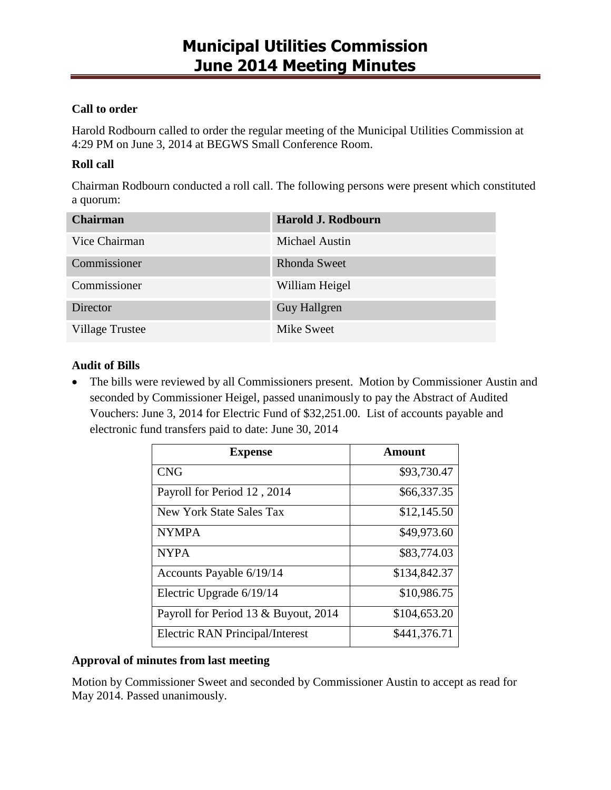### **Call to order**

Harold Rodbourn called to order the regular meeting of the Municipal Utilities Commission at 4:29 PM on June 3, 2014 at BEGWS Small Conference Room.

## **Roll call**

Chairman Rodbourn conducted a roll call. The following persons were present which constituted a quorum:

| <b>Chairman</b>        | Harold J. Rodbourn    |
|------------------------|-----------------------|
| Vice Chairman          | <b>Michael Austin</b> |
| Commissioner           | <b>Rhonda Sweet</b>   |
| Commissioner           | William Heigel        |
| Director               | <b>Guy Hallgren</b>   |
| <b>Village Trustee</b> | Mike Sweet            |

## **Audit of Bills**

• The bills were reviewed by all Commissioners present. Motion by Commissioner Austin and seconded by Commissioner Heigel, passed unanimously to pay the Abstract of Audited Vouchers: June 3, 2014 for Electric Fund of \$32,251.00. List of accounts payable and electronic fund transfers paid to date: June 30, 2014

| <b>Expense</b>                         | Amount       |
|----------------------------------------|--------------|
| <b>CNG</b>                             | \$93,730.47  |
| Payroll for Period 12, 2014            | \$66,337.35  |
| New York State Sales Tax               | \$12,145.50  |
| <b>NYMPA</b>                           | \$49,973.60  |
| <b>NYPA</b>                            | \$83,774.03  |
| Accounts Payable 6/19/14               | \$134,842.37 |
| Electric Upgrade 6/19/14               | \$10,986.75  |
| Payroll for Period 13 & Buyout, 2014   | \$104,653.20 |
| <b>Electric RAN Principal/Interest</b> | \$441,376.71 |

### **Approval of minutes from last meeting**

Motion by Commissioner Sweet and seconded by Commissioner Austin to accept as read for May 2014. Passed unanimously.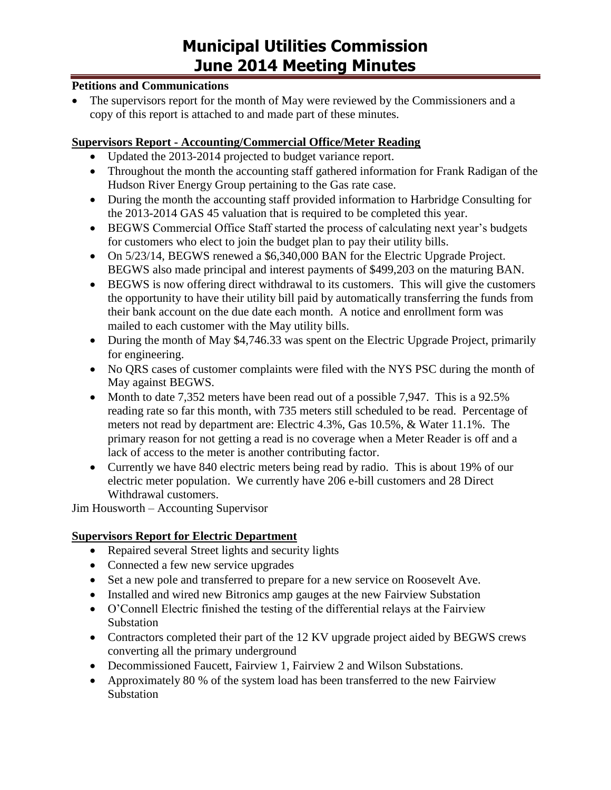#### **Petitions and Communications**

 The supervisors report for the month of May were reviewed by the Commissioners and a copy of this report is attached to and made part of these minutes.

### **Supervisors Report - Accounting/Commercial Office/Meter Reading**

- Updated the 2013-2014 projected to budget variance report.
- Throughout the month the accounting staff gathered information for Frank Radigan of the Hudson River Energy Group pertaining to the Gas rate case.
- During the month the accounting staff provided information to Harbridge Consulting for the 2013-2014 GAS 45 valuation that is required to be completed this year.
- BEGWS Commercial Office Staff started the process of calculating next year's budgets for customers who elect to join the budget plan to pay their utility bills.
- On 5/23/14, BEGWS renewed a \$6,340,000 BAN for the Electric Upgrade Project. BEGWS also made principal and interest payments of \$499,203 on the maturing BAN.
- BEGWS is now offering direct withdrawal to its customers. This will give the customers the opportunity to have their utility bill paid by automatically transferring the funds from their bank account on the due date each month. A notice and enrollment form was mailed to each customer with the May utility bills.
- During the month of May \$4,746.33 was spent on the Electric Upgrade Project, primarily for engineering.
- No ORS cases of customer complaints were filed with the NYS PSC during the month of May against BEGWS.
- Month to date 7,352 meters have been read out of a possible 7,947. This is a 92.5% reading rate so far this month, with 735 meters still scheduled to be read. Percentage of meters not read by department are: Electric 4.3%, Gas 10.5%, & Water 11.1%. The primary reason for not getting a read is no coverage when a Meter Reader is off and a lack of access to the meter is another contributing factor.
- Currently we have 840 electric meters being read by radio. This is about 19% of our electric meter population. We currently have 206 e-bill customers and 28 Direct Withdrawal customers.

Jim Housworth – Accounting Supervisor

## **Supervisors Report for Electric Department**

- Repaired several Street lights and security lights
- Connected a few new service upgrades
- Set a new pole and transferred to prepare for a new service on Roosevelt Ave.
- Installed and wired new Bitronics amp gauges at the new Fairview Substation
- O'Connell Electric finished the testing of the differential relays at the Fairview Substation
- Contractors completed their part of the 12 KV upgrade project aided by BEGWS crews converting all the primary underground
- Decommissioned Faucett, Fairview 1, Fairview 2 and Wilson Substations.
- Approximately 80 % of the system load has been transferred to the new Fairview Substation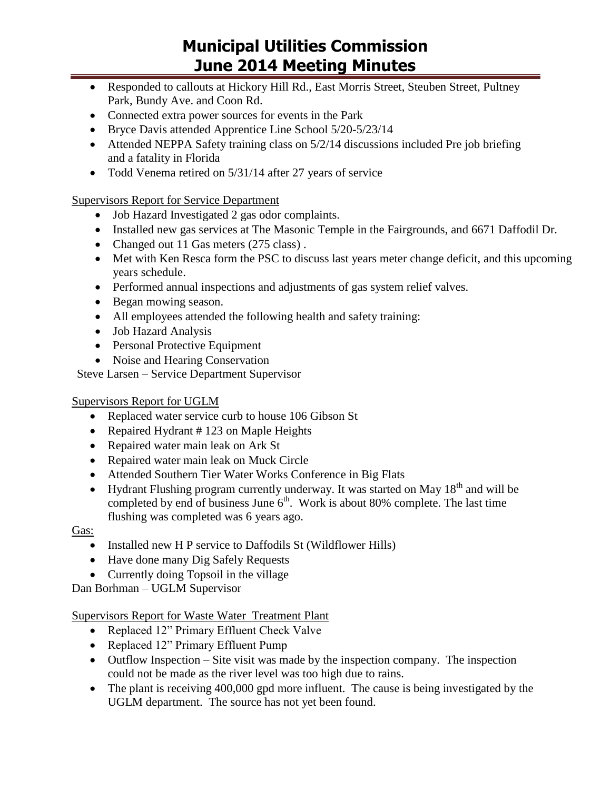- Responded to callouts at Hickory Hill Rd., East Morris Street, Steuben Street, Pultney Park, Bundy Ave. and Coon Rd.
- Connected extra power sources for events in the Park
- Bryce Davis attended Apprentice Line School 5/20-5/23/14
- Attended NEPPA Safety training class on 5/2/14 discussions included Pre job briefing and a fatality in Florida
- Todd Venema retired on 5/31/14 after 27 years of service

Supervisors Report for Service Department

- Job Hazard Investigated 2 gas odor complaints.
- Installed new gas services at The Masonic Temple in the Fairgrounds, and 6671 Daffodil Dr.
- Changed out 11 Gas meters (275 class).
- Met with Ken Resca form the PSC to discuss last years meter change deficit, and this upcoming years schedule.
- Performed annual inspections and adjustments of gas system relief valves.
- Began mowing season.
- All employees attended the following health and safety training:
- Job Hazard Analysis
- Personal Protective Equipment
- Noise and Hearing Conservation

Steve Larsen – Service Department Supervisor

## Supervisors Report for UGLM

- Replaced water service curb to house 106 Gibson St
- Repaired Hydrant # 123 on Maple Heights
- Repaired water main leak on Ark St
- Repaired water main leak on Muck Circle
- Attended Southern Tier Water Works Conference in Big Flats
- Hydrant Flushing program currently underway. It was started on May  $18<sup>th</sup>$  and will be completed by end of business June  $6<sup>th</sup>$ . Work is about 80% complete. The last time flushing was completed was 6 years ago.

Gas:

- Installed new H P service to Daffodils St (Wildflower Hills)
- Have done many Dig Safely Requests
- Currently doing Topsoil in the village

Dan Borhman – UGLM Supervisor

Supervisors Report for Waste Water Treatment Plant

- Replaced 12" Primary Effluent Check Valve
- Replaced 12" Primary Effluent Pump
- $\bullet$  Outflow Inspection Site visit was made by the inspection company. The inspection could not be made as the river level was too high due to rains.
- The plant is receiving 400,000 gpd more influent. The cause is being investigated by the UGLM department. The source has not yet been found.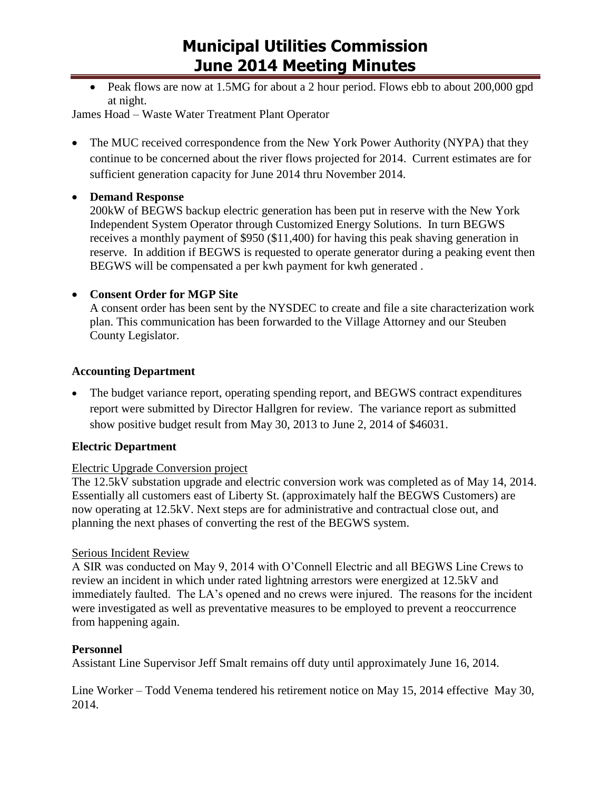• Peak flows are now at 1.5MG for about a 2 hour period. Flows ebb to about 200,000 gpd at night.

James Hoad – Waste Water Treatment Plant Operator

• The MUC received correspondence from the New York Power Authority (NYPA) that they continue to be concerned about the river flows projected for 2014. Current estimates are for sufficient generation capacity for June 2014 thru November 2014.

## **Demand Response**

200kW of BEGWS backup electric generation has been put in reserve with the New York Independent System Operator through Customized Energy Solutions. In turn BEGWS receives a monthly payment of \$950 (\$11,400) for having this peak shaving generation in reserve. In addition if BEGWS is requested to operate generator during a peaking event then BEGWS will be compensated a per kwh payment for kwh generated .

## **Consent Order for MGP Site**

A consent order has been sent by the NYSDEC to create and file a site characterization work plan. This communication has been forwarded to the Village Attorney and our Steuben County Legislator.

## **Accounting Department**

 The budget variance report, operating spending report, and BEGWS contract expenditures report were submitted by Director Hallgren for review. The variance report as submitted show positive budget result from May 30, 2013 to June 2, 2014 of \$46031.

## **Electric Department**

### Electric Upgrade Conversion project

The 12.5kV substation upgrade and electric conversion work was completed as of May 14, 2014. Essentially all customers east of Liberty St. (approximately half the BEGWS Customers) are now operating at 12.5kV. Next steps are for administrative and contractual close out, and planning the next phases of converting the rest of the BEGWS system.

### Serious Incident Review

A SIR was conducted on May 9, 2014 with O'Connell Electric and all BEGWS Line Crews to review an incident in which under rated lightning arrestors were energized at 12.5kV and immediately faulted. The LA's opened and no crews were injured. The reasons for the incident were investigated as well as preventative measures to be employed to prevent a reoccurrence from happening again.

### **Personnel**

Assistant Line Supervisor Jeff Smalt remains off duty until approximately June 16, 2014.

Line Worker – Todd Venema tendered his retirement notice on May 15, 2014 effective May 30, 2014.